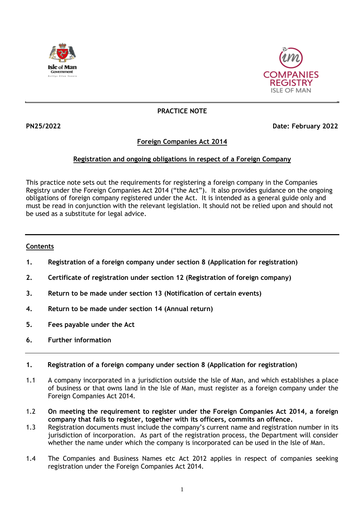



# **PRACTICE NOTE**

# **PN25/2022 Date: February 2022**

# **Foreign Companies Act 2014**

# **Registration and ongoing obligations in respect of a Foreign Company**

This practice note sets out the requirements for registering a foreign company in the Companies Registry under the Foreign Companies Act 2014 ("the Act"). It also provides guidance on the ongoing obligations of foreign company registered under the Act. It is intended as a general guide only and must be read in conjunction with the relevant legislation. It should not be relied upon and should not be used as a substitute for legal advice.

# **Contents**

- **1. Registration of a foreign company under section 8 (Application for registration)**
- **2. Certificate of registration under section 12 (Registration of foreign company)**
- **3. Return to be made under section 13 (Notification of certain events)**
- **4. Return to be made under section 14 (Annual return)**
- **5. Fees payable under the Act**
- **6. Further information**

## **1. Registration of a foreign company under section 8 (Application for registration)**

- 1.1 A company incorporated in a jurisdiction outside the Isle of Man, and which establishes a place of business or that owns land in the Isle of Man, must register as a foreign company under the Foreign Companies Act 2014.
- 1.2 **On meeting the requirement to register under the Foreign Companies Act 2014, a foreign company that fails to register, together with its officers, commits an offence.**
- 1.3 Registration documents must include the company's current name and registration number in its jurisdiction of incorporation. As part of the registration process, the Department will consider whether the name under which the company is incorporated can be used in the Isle of Man.
- 1.4 The Companies and Business Names etc Act 2012 applies in respect of companies seeking registration under the Foreign Companies Act 2014.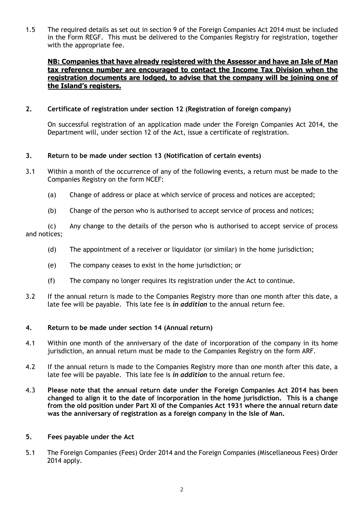1.5 The required details as set out in section 9 of the Foreign Companies Act 2014 must be included in the Form REGF. This must be delivered to the Companies Registry for registration, together with the appropriate fee.

# **NB: Companies that have already registered with the Assessor and have an Isle of Man tax reference number are encouraged to contact the Income Tax Division when the registration documents are lodged, to advise that the company will be joining one of the Island's registers.**

### **2. Certificate of registration under section 12 (Registration of foreign company)**

On successful registration of an application made under the Foreign Companies Act 2014, the Department will, under section 12 of the Act, issue a certificate of registration.

#### **3. Return to be made under section 13 (Notification of certain events)**

- 3.1 Within a month of the occurrence of any of the following events, a return must be made to the Companies Registry on the form NCEF:
	- (a) Change of address or place at which service of process and notices are accepted;
	- (b) Change of the person who is authorised to accept service of process and notices;

(c) Any change to the details of the person who is authorised to accept service of process and notices;

- (d) The appointment of a receiver or liquidator (or similar) in the home jurisdiction;
- (e) The company ceases to exist in the home jurisdiction; or
- (f) The company no longer requires its registration under the Act to continue.
- 3.2 If the annual return is made to the Companies Registry more than one month after this date, a late fee will be payable. This late fee is *in addition* to the annual return fee.

#### **4. Return to be made under section 14 (Annual return)**

- 4.1 Within one month of the anniversary of the date of incorporation of the company in its home jurisdiction, an annual return must be made to the Companies Registry on the form ARF.
- 4.2 If the annual return is made to the Companies Registry more than one month after this date, a late fee will be payable. This late fee is *in addition* to the annual return fee.
- 4.3 **Please note that the annual return date under the Foreign Companies Act 2014 has been changed to align it to the date of incorporation in the home jurisdiction. This is a change from the old position under Part XI of the Companies Act 1931 where the annual return date was the anniversary of registration as a foreign company in the Isle of Man.**

#### **5. Fees payable under the Act**

5.1 The Foreign Companies (Fees) Order 2014 and the Foreign Companies (Miscellaneous Fees) Order 2014 apply.